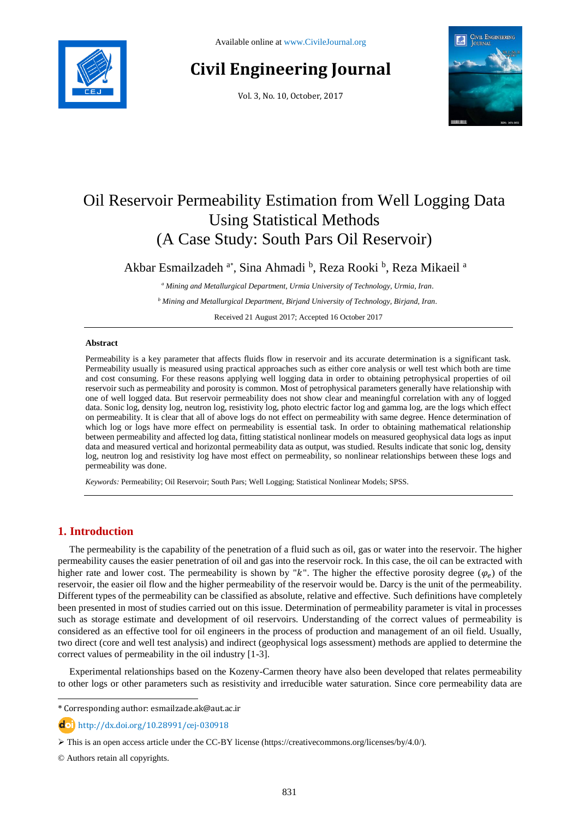

# **Civil Engineering Journal**

Vol. 3, No. 10, October, 2017



# Oil Reservoir Permeability Estimation from Well Logging Data Using Statistical Methods (A Case Study: South Pars Oil Reservoir)

Akbar Esmailzadeh <sup>a\*</sup>, Sina Ahmadi <sup>b</sup>, Reza Rooki <sup>b</sup>, Reza Mikaeil <sup>a</sup>

*<sup>a</sup> Mining and Metallurgical Department, Urmia University of Technology, Urmia, Iran.*

*<sup>b</sup> Mining and Metallurgical Department, Birjand University of Technology, Birjand, Iran.*

Received 21 August 2017; Accepted 16 October 2017

### **Abstract**

Permeability is a key parameter that affects fluids flow in reservoir and its accurate determination is a significant task. Permeability usually is measured using practical approaches such as either core analysis or well test which both are time and cost consuming. For these reasons applying well logging data in order to obtaining petrophysical properties of oil reservoir such as permeability and porosity is common. Most of petrophysical parameters generally have relationship with one of well logged data. But reservoir permeability does not show clear and meaningful correlation with any of logged data. Sonic log, density log, neutron log, resistivity log, photo electric factor log and gamma log, are the logs which effect on permeability. It is clear that all of above logs do not effect on permeability with same degree. Hence determination of which log or logs have more effect on permeability is essential task. In order to obtaining mathematical relationship between permeability and affected log data, fitting statistical nonlinear models on measured geophysical data logs as input data and measured vertical and horizontal permeability data as output, was studied. Results indicate that sonic log, density log, neutron log and resistivity log have most effect on permeability, so nonlinear relationships between these logs and permeability was done.

*Keywords:* Permeability; Oil Reservoir; South Pars; Well Logging; Statistical Nonlinear Models; SPSS.

# **1. Introduction**

The permeability is the capability of the penetration of a fluid such as oil, gas or water into the reservoir. The higher permeability causes the easier penetration of oil and gas into the reservoir rock. In this case, the oil can be extracted with higher rate and lower cost. The permeability is shown by " $k$ ". The higher the effective porosity degree  $(\varphi_e)$  of the reservoir, the easier oil flow and the higher permeability of the reservoir would be. Darcy is the unit of the permeability. Different types of the permeability can be classified as absolute, relative and effective. Such definitions have completely been presented in most of studies carried out on this issue. Determination of permeability parameter is vital in processes such as storage estimate and development of oil reservoirs. Understanding of the correct values of permeability is considered as an effective tool for oil engineers in the process of production and management of an oil field. Usually, two direct (core and well test analysis) and indirect (geophysical logs assessment) methods are applied to determine the correct values of permeability in the oil industry [1-3].

Experimental relationships based on the Kozeny-Carmen theory have also been developed that relates permeability to other logs or other parameters such as resistivity and irreducible water saturation. Since core permeability data are

\* Corresponding author: esmailzade.ak@aut.ac.ir

**dol** [http://dx.doi.org/10.28991/cej-030918](http://dx.doi.org/10.21859/cej-030915)

This is an open access article under the CC-BY license [\(https://creativecommons.org/licenses/by/4.0/\)](https://creativecommons.org/licenses/by/4.0/).

© Authors retain all copyrights.

l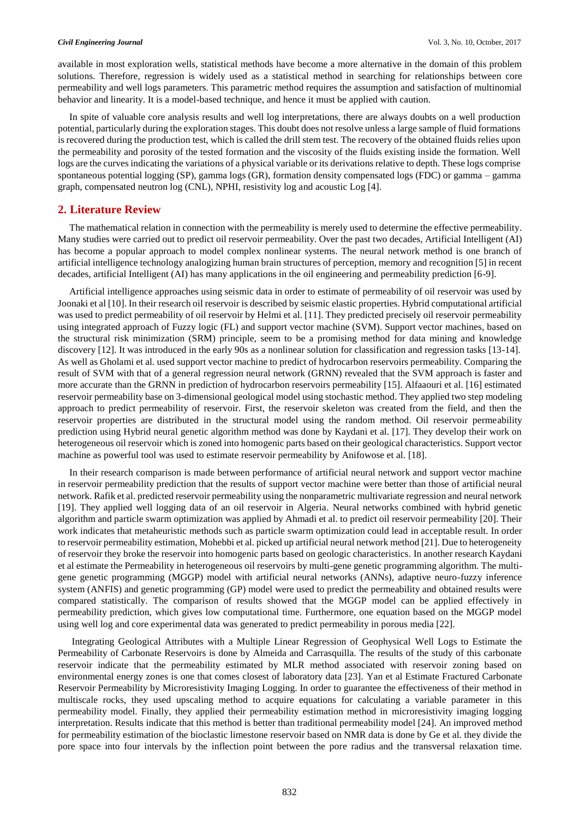available in most exploration wells, statistical methods have become a more alternative in the domain of this problem solutions. Therefore, regression is widely used as a statistical method in searching for relationships between core permeability and well logs parameters. This parametric method requires the assumption and satisfaction of multinomial behavior and linearity. It is a model-based technique, and hence it must be applied with caution.

In spite of valuable core analysis results and well log interpretations, there are always doubts on a well production potential, particularly during the exploration stages. This doubt does not resolve unless a large sample of fluid formations is recovered during the production test, which is called the drill stem test. The recovery of the obtained fluids relies upon the permeability and porosity of the tested formation and the viscosity of the fluids existing inside the formation. Well logs are the curves indicating the variations of a physical variable or its derivations relative to depth. These logs comprise spontaneous potential logging (SP), gamma logs (GR), formation density compensated logs (FDC) or gamma – gamma graph, compensated neutron log (CNL), NPHI, resistivity log and acoustic Log [4].

# **2. Literature Review**

The mathematical relation in connection with the permeability is merely used to determine the effective permeability. Many studies were carried out to predict oil reservoir permeability. Over the past two decades, Artificial Intelligent (AI) has become a popular approach to model complex nonlinear systems. The neural network method is one branch of artificial intelligence technology analogizing human brain structures of perception, memory and recognition [5] in recent decades, artificial Intelligent (AI) has many applications in the oil engineering and permeability prediction [6-9].

Artificial intelligence approaches using seismic data in order to estimate of permeability of oil reservoir was used by Joonaki et al [10]. In their research oil reservoir is described by seismic elastic properties. Hybrid computational artificial was used to predict permeability of oil reservoir by Helmi et al. [11]. They predicted precisely oil reservoir permeability using integrated approach of Fuzzy logic (FL) and support vector machine (SVM). Support vector machines, based on the structural risk minimization (SRM) principle, seem to be a promising method for data mining and knowledge discovery [12]. It was introduced in the early 90s as a nonlinear solution for classification and regression tasks [13-14]. As well as Gholami et al. used support vector machine to predict of hydrocarbon reservoirs permeability. Comparing the result of SVM with that of a general regression neural network (GRNN) revealed that the SVM approach is faster and more accurate than the GRNN in prediction of hydrocarbon reservoirs permeability [15]. Alfaaouri et al. [16] estimated reservoir permeability base on 3-dimensional geological model using stochastic method. They applied two step modeling approach to predict permeability of reservoir. First, the reservoir skeleton was created from the field, and then the reservoir properties are distributed in the structural model using the random method. Oil reservoir permeability prediction using Hybrid neural genetic algorithm method was done by Kaydani et al. [17]. They develop their work on heterogeneous oil reservoir which is zoned into homogenic parts based on their geological characteristics. Support vector machine as powerful tool was used to estimate reservoir permeability by Anifowose et al. [18].

In their research comparison is made between performance of artificial neural network and support vector machine in reservoir permeability prediction that the results of support vector machine were better than those of artificial neural network. Rafik et al. predicted reservoir permeability using the nonparametric multivariate regression and neural network [19]. They applied well logging data of an oil reservoir in Algeria. Neural networks combined with hybrid genetic algorithm and particle swarm optimization was applied by Ahmadi et al. to predict oil reservoir permeability [20]. Their work indicates that metaheuristic methods such as particle swarm optimization could lead in acceptable result. In order to reservoir permeability estimation, Mohebbi et al. picked up artificial neural network method [21]. Due to heterogeneity of reservoir they broke the reservoir into homogenic parts based on geologic characteristics. In another research Kaydani et al estimate the Permeability in heterogeneous oil reservoirs by multi-gene genetic programming algorithm. The multigene genetic programming (MGGP) model with artificial neural networks (ANNs), adaptive neuro-fuzzy inference system (ANFIS) and genetic programming (GP) model were used to predict the permeability and obtained results were compared statistically. The comparison of results showed that the MGGP model can be applied effectively in permeability prediction, which gives low computational time. Furthermore, one equation based on the MGGP model using well log and core experimental data was generated to predict permeability in porous media [22].

Integrating Geological Attributes with a Multiple Linear Regression of Geophysical Well Logs to Estimate the Permeability of Carbonate Reservoirs is done by Almeida and Carrasquilla. The results of the study of this carbonate reservoir indicate that the permeability estimated by MLR method associated with reservoir zoning based on environmental energy zones is one that comes closest of laboratory data [23]. Yan et al Estimate Fractured Carbonate Reservoir Permeability by Microresistivity Imaging Logging. In order to guarantee the effectiveness of their method in multiscale rocks, they used upscaling method to acquire equations for calculating a variable parameter in this permeability model. Finally, they applied their permeability estimation method in microresistivity imaging logging interpretation. Results indicate that this method is better than traditional permeability model [24]. An improved method for permeability estimation of the bioclastic limestone reservoir based on NMR data is done by Ge et al. they divide the pore space into four intervals by the inflection point between the pore radius and the transversal relaxation time.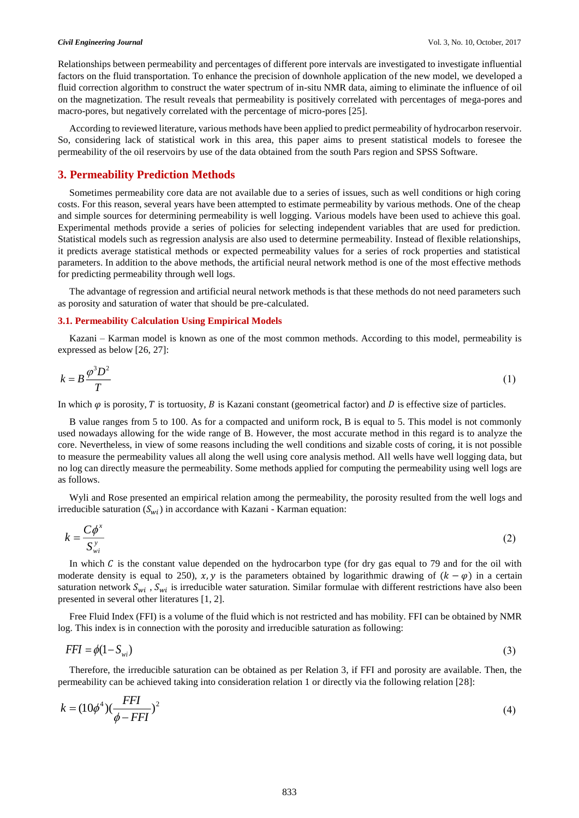Relationships between permeability and percentages of different pore intervals are investigated to investigate influential factors on the fluid transportation. To enhance the precision of downhole application of the new model, we developed a fluid correction algorithm to construct the water spectrum of in-situ NMR data, aiming to eliminate the influence of oil on the magnetization. The result reveals that permeability is positively correlated with percentages of mega-pores and macro-pores, but negatively correlated with the percentage of micro-pores [25].

According to reviewed literature, various methods have been applied to predict permeability of hydrocarbon reservoir. So, considering lack of statistical work in this area, this paper aims to present statistical models to foresee the permeability of the oil reservoirs by use of the data obtained from the south Pars region and SPSS Software.

# **3. Permeability Prediction Methods**

Sometimes permeability core data are not available due to a series of issues, such as well conditions or high coring costs. For this reason, several years have been attempted to estimate permeability by various methods. One of the cheap and simple sources for determining permeability is well logging. Various models have been used to achieve this goal. Experimental methods provide a series of policies for selecting independent variables that are used for prediction. Statistical models such as regression analysis are also used to determine permeability. Instead of flexible relationships, it predicts average statistical methods or expected permeability values for a series of rock properties and statistical parameters. In addition to the above methods, the artificial neural network method is one of the most effective methods for predicting permeability through well logs.

The advantage of regression and artificial neural network methods is that these methods do not need parameters such as porosity and saturation of water that should be pre-calculated.

#### **3.1. Permeability Calculation Using Empirical Models**

Kazani – Karman model is known as one of the most common methods. According to this model, permeability is expressed as below [26, 27]:

$$
k = B \frac{\varphi^3 D^2}{T} \tag{1}
$$

In which  $\varphi$  is porosity, T is tortuosity, B is Kazani constant (geometrical factor) and D is effective size of particles.

B value ranges from 5 to 100. As for a compacted and uniform rock, B is equal to 5. This model is not commonly used nowadays allowing for the wide range of B. However, the most accurate method in this regard is to analyze the core. Nevertheless, in view of some reasons including the well conditions and sizable costs of coring, it is not possible to measure the permeability values all along the well using core analysis method. All wells have well logging data, but no log can directly measure the permeability. Some methods applied for computing the permeability using well logs are as follows.

Wyli and Rose presented an empirical relation among the permeability, the porosity resulted from the well logs and irreducible saturation  $(S_{wi})$  in accordance with Kazani - Karman equation:

$$
k = \frac{C\phi^x}{S_{wi}^y} \tag{2}
$$

In which  $C$  is the constant value depended on the hydrocarbon type (for dry gas equal to 79 and for the oil with moderate density is equal to 250),  $x, y$  is the parameters obtained by logarithmic drawing of  $(k - \varphi)$  in a certain saturation network  $S_{wi}$ ,  $S_{wi}$  is irreducible water saturation. Similar formulae with different restrictions have also been presented in several other literatures [1, 2].

Free Fluid Index (FFI) is a volume of the fluid which is not restricted and has mobility. FFI can be obtained by NMR log. This index is in connection with the porosity and irreducible saturation as following:

$$
FFI = \phi(1 - S_{wi})
$$
\n<sup>(3)</sup>

Therefore, the irreducible saturation can be obtained as per Relation 3, if FFI and porosity are available. Then, the permeability can be achieved taking into consideration relation 1 or directly via the following relation [28]:

$$
k = (10\phi^4)(\frac{FFI}{\phi - FFI})^2
$$
\n<sup>(4)</sup>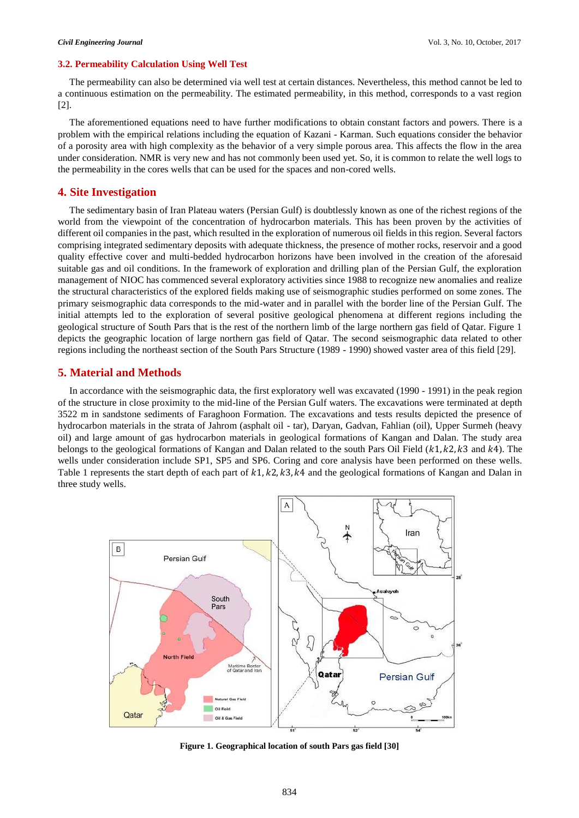### **3.2. Permeability Calculation Using Well Test**

The permeability can also be determined via well test at certain distances. Nevertheless, this method cannot be led to a continuous estimation on the permeability. The estimated permeability, in this method, corresponds to a vast region [2].

The aforementioned equations need to have further modifications to obtain constant factors and powers. There is a problem with the empirical relations including the equation of Kazani - Karman. Such equations consider the behavior of a porosity area with high complexity as the behavior of a very simple porous area. This affects the flow in the area under consideration. NMR is very new and has not commonly been used yet. So, it is common to relate the well logs to the permeability in the cores wells that can be used for the spaces and non-cored wells.

# **4. Site Investigation**

The sedimentary basin of Iran Plateau waters (Persian Gulf) is doubtlessly known as one of the richest regions of the world from the viewpoint of the concentration of hydrocarbon materials. This has been proven by the activities of different oil companies in the past, which resulted in the exploration of numerous oil fields in this region. Several factors comprising integrated sedimentary deposits with adequate thickness, the presence of mother rocks, reservoir and a good quality effective cover and multi-bedded hydrocarbon horizons have been involved in the creation of the aforesaid suitable gas and oil conditions. In the framework of exploration and drilling plan of the Persian Gulf, the exploration management of NIOC has commenced several exploratory activities since 1988 to recognize new anomalies and realize the structural characteristics of the explored fields making use of seismographic studies performed on some zones. The primary seismographic data corresponds to the mid-water and in parallel with the border line of the Persian Gulf. The initial attempts led to the exploration of several positive geological phenomena at different regions including the geological structure of South Pars that is the rest of the northern limb of the large northern gas field of Qatar. Figure 1 depicts the geographic location of large northern gas field of Qatar. The second seismographic data related to other regions including the northeast section of the South Pars Structure (1989 - 1990) showed vaster area of this field [29].

## **5. Material and Methods**

In accordance with the seismographic data, the first exploratory well was excavated (1990 - 1991) in the peak region of the structure in close proximity to the mid-line of the Persian Gulf waters. The excavations were terminated at depth 3522 m in sandstone sediments of Faraghoon Formation. The excavations and tests results depicted the presence of hydrocarbon materials in the strata of Jahrom (asphalt oil - tar), Daryan, Gadvan, Fahlian (oil), Upper Surmeh (heavy oil) and large amount of gas hydrocarbon materials in geological formations of Kangan and Dalan. The study area belongs to the geological formations of Kangan and Dalan related to the south Pars Oil Field  $(k1, k2, k3$  and  $k4)$ . The wells under consideration include SP1, SP5 and SP6. Coring and core analysis have been performed on these wells. Table 1 represents the start depth of each part of  $k1, k2, k3, k4$  and the geological formations of Kangan and Dalan in three study wells.



**Figure 1. Geographical location of south Pars gas field [30]**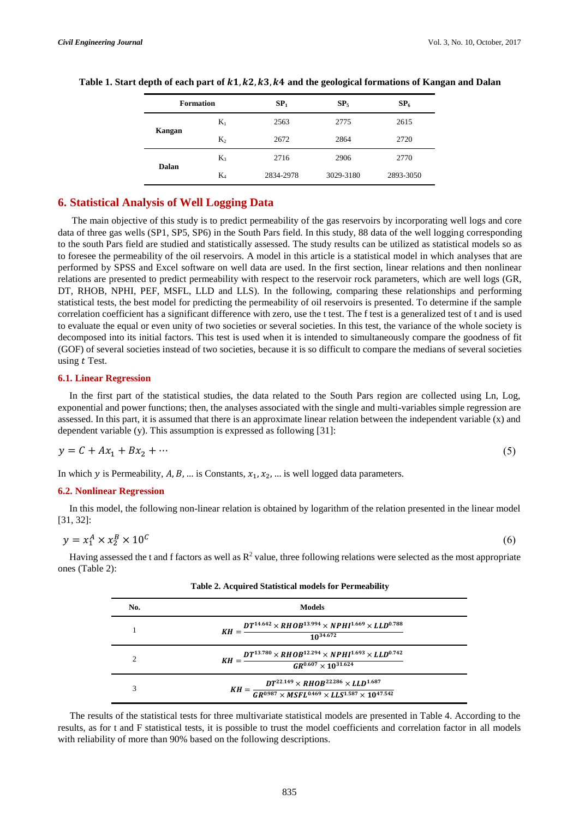(6)

| <b>Formation</b> |       | SP <sub>1</sub> | SP <sub>5</sub> | SP <sub>6</sub> |
|------------------|-------|-----------------|-----------------|-----------------|
|                  | $K_1$ | 2563            | 2775            | 2615            |
| Kangan           | $K_2$ | 2672            | 2864            | 2720            |
|                  | $K_3$ | 2716            | 2906            | 2770            |
| Dalan            | $K_4$ | 2834-2978       | 3029-3180       | 2893-3050       |

Table 1. Start depth of each part of  $k1$ ,  $k2$ ,  $k3$ ,  $k4$  and the geological formations of Kangan and Dalan

### **6. Statistical Analysis of Well Logging Data**

The main objective of this study is to predict permeability of the gas reservoirs by incorporating well logs and core data of three gas wells (SP1, SP5, SP6) in the South Pars field. In this study, 88 data of the well logging corresponding to the south Pars field are studied and statistically assessed. The study results can be utilized as statistical models so as to foresee the permeability of the oil reservoirs. A model in this article is a statistical model in which analyses that are performed by SPSS and Excel software on well data are used. In the first section, linear relations and then nonlinear relations are presented to predict permeability with respect to the reservoir rock parameters, which are well logs (GR, DT, RHOB, NPHI, PEF, MSFL, LLD and LLS). In the following, comparing these relationships and performing statistical tests, the best model for predicting the permeability of oil reservoirs is presented. To determine if the sample correlation coefficient has a significant difference with zero, use the t test. The f test is a generalized test of t and is used to evaluate the equal or even unity of two societies or several societies. In this test, the variance of the whole society is decomposed into its initial factors. This test is used when it is intended to simultaneously compare the goodness of fit (GOF) of several societies instead of two societies, because it is so difficult to compare the medians of several societies using  $t$  Test.

#### **6.1. Linear Regression**

In the first part of the statistical studies, the data related to the South Pars region are collected using Ln, Log, exponential and power functions; then, the analyses associated with the single and multi-variables simple regression are assessed. In this part, it is assumed that there is an approximate linear relation between the independent variable (x) and dependent variable (y). This assumption is expressed as following [31]:

$$
y = C + Ax_1 + Bx_2 + \cdots \tag{5}
$$

In which y is Permeability,  $A, B, \ldots$  is Constants,  $x_1, x_2, \ldots$  is well logged data parameters.

#### **6.2. Nonlinear Regression**

In this model, the following non-linear relation is obtained by logarithm of the relation presented in the linear model [31, 32]:

$$
y = x_1^A \times x_2^B \times 10^C
$$

Having assessed the t and f factors as well as  $R^2$  value, three following relations were selected as the most appropriate ones (Table 2):

| No.                         | Models                                                                                                                                                                                                            |  |
|-----------------------------|-------------------------------------------------------------------------------------------------------------------------------------------------------------------------------------------------------------------|--|
|                             | $DT^{14.642} \times RHOB^{13.994} \times NPHI^{1.669} \times LLD^{0.788}$<br>$10^{34.672}$                                                                                                                        |  |
| $\mathcal{D}_{\mathcal{L}}$ | $DT^{13.780} \times RHOB^{12.294} \times NPHI^{1.693} \times LLD^{0.742}$<br>$KH = \frac{2.64 \times 10^{31.624}}{GR^{0.607} \times 10^{31.624}}$                                                                 |  |
| 3                           | $DT^{22.149} \times RHOB^{22.286} \times LLD^{1.687}$<br>$KH = \frac{GR^{0.987} \times MSEL^{0.469} \times LLS^{1.587} \times 10^{47.542}}{GR^{0.987} \times MSEL^{0.469} \times LLS^{1.587} \times 10^{47.542}}$ |  |

The results of the statistical tests for three multivariate statistical models are presented in Table 4. According to the results, as for t and F statistical tests, it is possible to trust the model coefficients and correlation factor in all models with reliability of more than 90% based on the following descriptions.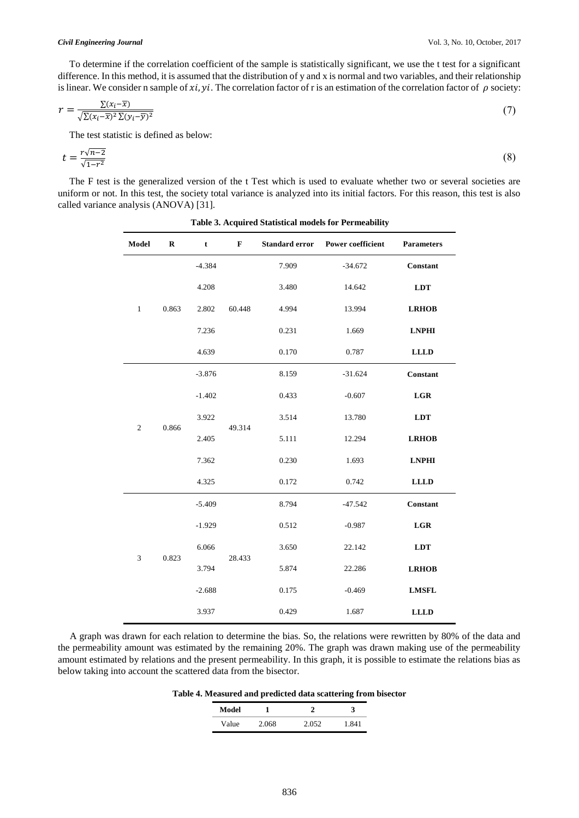To determine if the correlation coefficient of the sample is statistically significant, we use the t test for a significant difference. In this method, it is assumed that the distribution of y and x is normal and two variables, and their relationship is linear. We consider n sample of  $xi$ ,  $yi$ . The correlation factor of r is an estimation of the correlation factor of  $\rho$  society:

$$
r = \frac{\sum (x_i - \overline{x})}{\sqrt{\sum (x_i - \overline{x})^2 \sum (y_i - \overline{y})^2}}\tag{7}
$$

The test statistic is defined as below:

$$
t = \frac{r\sqrt{n-2}}{\sqrt{1-r^2}}\tag{8}
$$

The F test is the generalized version of the t Test which is used to evaluate whether two or several societies are uniform or not. In this test, the society total variance is analyzed into its initial factors. For this reason, this test is also called variance analysis (ANOVA) [31].

| Model                   | $\bf R$  | $\mathbf t$ | $\mathbf F$ | <b>Standard error</b> | <b>Power coefficient</b> | <b>Parameters</b> |
|-------------------------|----------|-------------|-------------|-----------------------|--------------------------|-------------------|
|                         |          | $-4.384$    | 60.448      | 7.909                 | $-34.672$                | Constant          |
|                         |          | 4.208       |             | 3.480                 | 14.642                   | <b>LDT</b>        |
| $\mathbf{1}$            | 0.863    | 2.802       |             | 4.994                 | 13.994                   | <b>LRHOB</b>      |
|                         |          | 7.236       |             | 0.231                 | 1.669                    | <b>LNPHI</b>      |
|                         |          | 4.639       |             | 0.170                 | 0.787                    | <b>LLLD</b>       |
|                         |          | $-3.876$    |             | 8.159                 | $-31.624$                | Constant          |
|                         | $-1.402$ |             | 0.433       | $-0.607$              | LGR                      |                   |
|                         | 3.922    |             | 3.514       | 13.780                | <b>LDT</b>               |                   |
| $\mathbf{2}$            | 0.866    | 2.405       | 49.314      | 5.111                 | 12.294                   | <b>LRHOB</b>      |
|                         |          | 7.362       |             | 0.230                 | 1.693                    | <b>LNPHI</b>      |
|                         |          | 4.325       |             | 0.172                 | 0.742                    | <b>LLLD</b>       |
|                         |          | $-5.409$    | 28.433      | 8.794                 | $-47.542$                | Constant          |
| $\mathfrak{Z}$<br>0.823 |          | $-1.929$    |             | 0.512                 | $-0.987$                 | LGR               |
|                         |          | 6.066       |             | 3.650                 | 22.142                   | <b>LDT</b>        |
|                         |          | 3.794       |             | 5.874                 | 22.286                   | <b>LRHOB</b>      |
|                         |          | $-2.688$    |             | 0.175                 | $-0.469$                 | <b>LMSFL</b>      |
|                         |          | 3.937       |             | 0.429                 | 1.687                    | <b>LLLD</b>       |

| <b>Table 3. Acquired Statistical models for Permeability</b> |  |  |
|--------------------------------------------------------------|--|--|
|--------------------------------------------------------------|--|--|

A graph was drawn for each relation to determine the bias. So, the relations were rewritten by 80% of the data and the permeability amount was estimated by the remaining 20%. The graph was drawn making use of the permeability amount estimated by relations and the present permeability. In this graph, it is possible to estimate the relations bias as below taking into account the scattered data from the bisector.

**Table 4. Measured and predicted data scattering from bisector** 

| Model |     |       |     |
|-------|-----|-------|-----|
| Value | 068 | 2.052 | QA1 |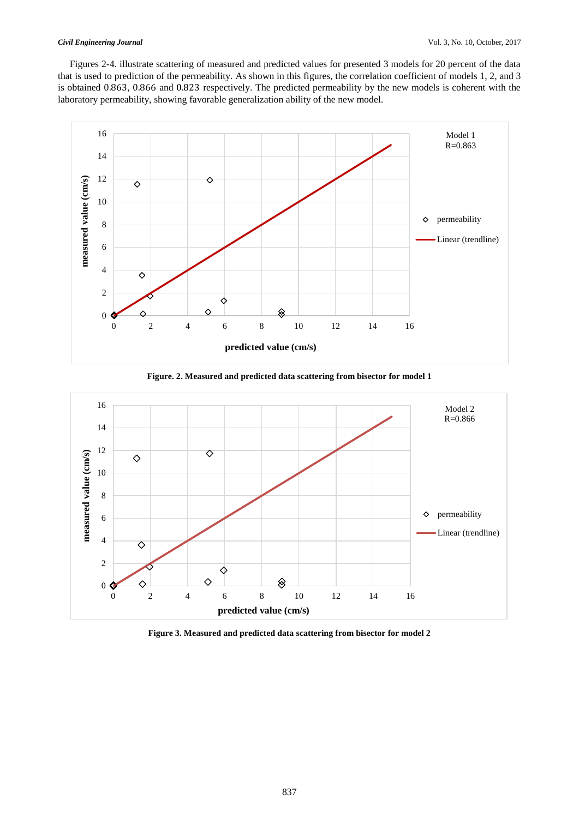Figures 2-4. illustrate scattering of measured and predicted values for presented 3 models for 20 percent of the data that is used to prediction of the permeability. As shown in this figures, the correlation coefficient of models 1, 2, and 3 is obtained 0.863, 0.866 and 0.823 respectively. The predicted permeability by the new models is coherent with the laboratory permeability, showing favorable generalization ability of the new model.



**Figure. 2. Measured and predicted data scattering from bisector for model 1**



**Figure 3. Measured and predicted data scattering from bisector for model 2**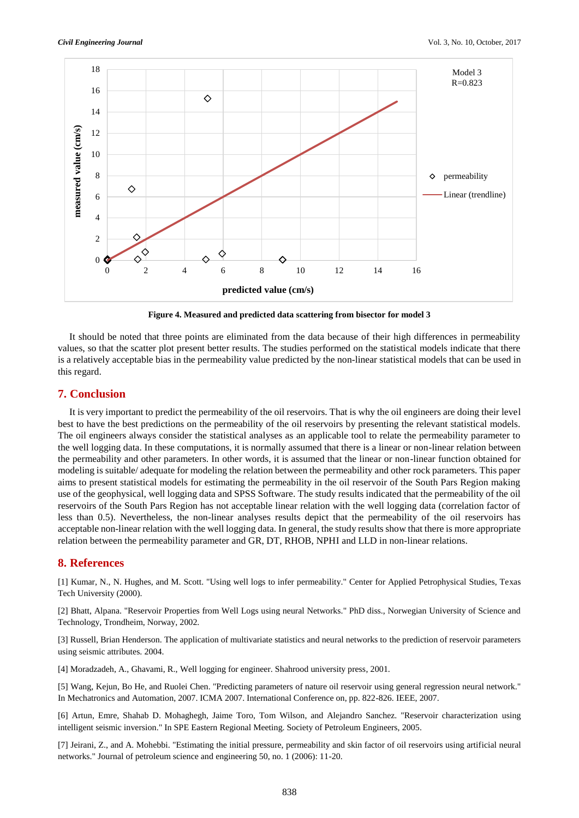

**Figure 4. Measured and predicted data scattering from bisector for model 3**

It should be noted that three points are eliminated from the data because of their high differences in permeability values, so that the scatter plot present better results. The studies performed on the statistical models indicate that there is a relatively acceptable bias in the permeability value predicted by the non-linear statistical models that can be used in this regard.

# **7. Conclusion**

It is very important to predict the permeability of the oil reservoirs. That is why the oil engineers are doing their level best to have the best predictions on the permeability of the oil reservoirs by presenting the relevant statistical models. The oil engineers always consider the statistical analyses as an applicable tool to relate the permeability parameter to the well logging data. In these computations, it is normally assumed that there is a linear or non-linear relation between the permeability and other parameters. In other words, it is assumed that the linear or non-linear function obtained for modeling is suitable/ adequate for modeling the relation between the permeability and other rock parameters. This paper aims to present statistical models for estimating the permeability in the oil reservoir of the South Pars Region making use of the geophysical, well logging data and SPSS Software. The study results indicated that the permeability of the oil reservoirs of the South Pars Region has not acceptable linear relation with the well logging data (correlation factor of less than 0.5). Nevertheless, the non-linear analyses results depict that the permeability of the oil reservoirs has acceptable non-linear relation with the well logging data. In general, the study results show that there is more appropriate relation between the permeability parameter and GR, DT, RHOB, NPHI and LLD in non-linear relations.

# **8. References**

[1] Kumar, N., N. Hughes, and M. Scott. "Using well logs to infer permeability." Center for Applied Petrophysical Studies, Texas Tech University (2000).

[2] Bhatt, Alpana. "Reservoir Properties from Well Logs using neural Networks." PhD diss., Norwegian University of Science and Technology, Trondheim, Norway, 2002.

[3] Russell, Brian Henderson. The application of multivariate statistics and neural networks to the prediction of reservoir parameters using seismic attributes. 2004.

[4] Moradzadeh, A., Ghavami, R., Well logging for engineer. Shahrood university press, 2001.

[5] Wang, Kejun, Bo He, and Ruolei Chen. "Predicting parameters of nature oil reservoir using general regression neural network." In Mechatronics and Automation, 2007. ICMA 2007. International Conference on, pp. 822-826. IEEE, 2007.

[6] Artun, Emre, Shahab D. Mohaghegh, Jaime Toro, Tom Wilson, and Alejandro Sanchez. "Reservoir characterization using intelligent seismic inversion." In SPE Eastern Regional Meeting. Society of Petroleum Engineers, 2005.

[7] Jeirani, Z., and A. Mohebbi. "Estimating the initial pressure, permeability and skin factor of oil reservoirs using artificial neural networks." Journal of petroleum science and engineering 50, no. 1 (2006): 11-20.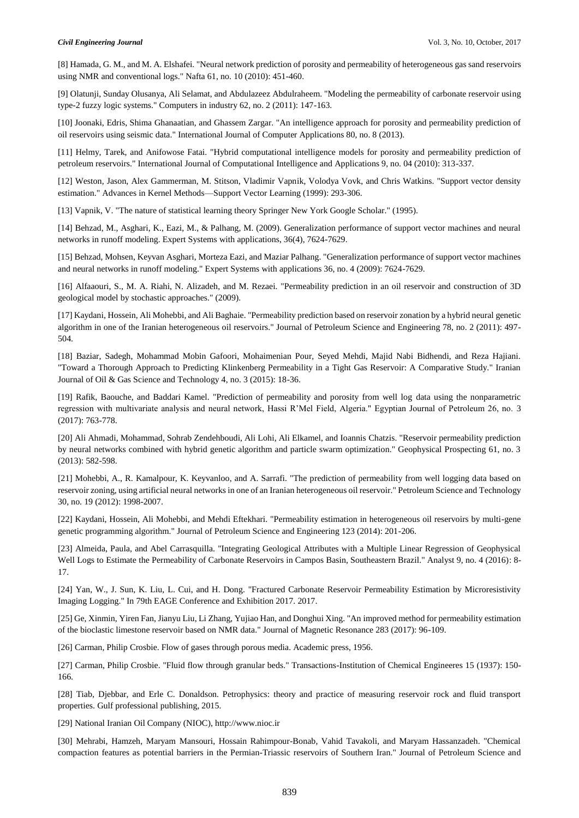[8] Hamada, G. M., and M. A. Elshafei. "Neural network prediction of porosity and permeability of heterogeneous gas sand reservoirs using NMR and conventional logs." Nafta 61, no. 10 (2010): 451-460.

[9] Olatunji, Sunday Olusanya, Ali Selamat, and Abdulazeez Abdulraheem. "Modeling the permeability of carbonate reservoir using type-2 fuzzy logic systems." Computers in industry 62, no. 2 (2011): 147-163.

[10] Joonaki, Edris, Shima Ghanaatian, and Ghassem Zargar. "An intelligence approach for porosity and permeability prediction of oil reservoirs using seismic data." International Journal of Computer Applications 80, no. 8 (2013).

[11] Helmy, Tarek, and Anifowose Fatai. "Hybrid computational intelligence models for porosity and permeability prediction of petroleum reservoirs." International Journal of Computational Intelligence and Applications 9, no. 04 (2010): 313-337.

[12] Weston, Jason, Alex Gammerman, M. Stitson, Vladimir Vapnik, Volodya Vovk, and Chris Watkins. "Support vector density estimation." Advances in Kernel Methods—Support Vector Learning (1999): 293-306.

[13] Vapnik, V. "The nature of statistical learning theory Springer New York Google Scholar." (1995).

[14] Behzad, M., Asghari, K., Eazi, M., & Palhang, M. (2009). Generalization performance of support vector machines and neural networks in runoff modeling. Expert Systems with applications, 36(4), 7624-7629.

[15] Behzad, Mohsen, Keyvan Asghari, Morteza Eazi, and Maziar Palhang. "Generalization performance of support vector machines and neural networks in runoff modeling." Expert Systems with applications 36, no. 4 (2009): 7624-7629.

[16] Alfaaouri, S., M. A. Riahi, N. Alizadeh, and M. Rezaei. "Permeability prediction in an oil reservoir and construction of 3D geological model by stochastic approaches." (2009).

[17] Kaydani, Hossein, Ali Mohebbi, and Ali Baghaie. "Permeability prediction based on reservoir zonation by a hybrid neural genetic algorithm in one of the Iranian heterogeneous oil reservoirs." Journal of Petroleum Science and Engineering 78, no. 2 (2011): 497- 504.

[18] Baziar, Sadegh, Mohammad Mobin Gafoori, Mohaimenian Pour, Seyed Mehdi, Majid Nabi Bidhendi, and Reza Hajiani. "Toward a Thorough Approach to Predicting Klinkenberg Permeability in a Tight Gas Reservoir: A Comparative Study." Iranian Journal of Oil & Gas Science and Technology 4, no. 3 (2015): 18-36.

[19] Rafik, Baouche, and Baddari Kamel. "Prediction of permeability and porosity from well log data using the nonparametric regression with multivariate analysis and neural network, Hassi R'Mel Field, Algeria." Egyptian Journal of Petroleum 26, no. 3 (2017): 763-778.

[20] Ali Ahmadi, Mohammad, Sohrab Zendehboudi, Ali Lohi, Ali Elkamel, and Ioannis Chatzis. "Reservoir permeability prediction by neural networks combined with hybrid genetic algorithm and particle swarm optimization." Geophysical Prospecting 61, no. 3 (2013): 582-598.

[21] Mohebbi, A., R. Kamalpour, K. Keyvanloo, and A. Sarrafi. "The prediction of permeability from well logging data based on reservoir zoning, using artificial neural networks in one of an Iranian heterogeneous oil reservoir." Petroleum Science and Technology 30, no. 19 (2012): 1998-2007.

[22] Kaydani, Hossein, Ali Mohebbi, and Mehdi Eftekhari. "Permeability estimation in heterogeneous oil reservoirs by multi-gene genetic programming algorithm." Journal of Petroleum Science and Engineering 123 (2014): 201-206.

[23] Almeida, Paula, and Abel Carrasquilla. "Integrating Geological Attributes with a Multiple Linear Regression of Geophysical Well Logs to Estimate the Permeability of Carbonate Reservoirs in Campos Basin, Southeastern Brazil." Analyst 9, no. 4 (2016): 8- 17.

[24] Yan, W., J. Sun, K. Liu, L. Cui, and H. Dong. "Fractured Carbonate Reservoir Permeability Estimation by Microresistivity Imaging Logging." In 79th EAGE Conference and Exhibition 2017. 2017.

[25] Ge, Xinmin, Yiren Fan, Jianyu Liu, Li Zhang, Yujiao Han, and Donghui Xing. "An improved method for permeability estimation of the bioclastic limestone reservoir based on NMR data." Journal of Magnetic Resonance 283 (2017): 96-109.

[26] Carman, Philip Crosbie. Flow of gases through porous media. Academic press, 1956.

[27] Carman, Philip Crosbie. "Fluid flow through granular beds." Transactions-Institution of Chemical Engineeres 15 (1937): 150- 166.

[28] Tiab, Djebbar, and Erle C. Donaldson. Petrophysics: theory and practice of measuring reservoir rock and fluid transport properties. Gulf professional publishing, 2015.

[29] National Iranian Oil Company (NIOC), http://www.nioc.ir

[30] Mehrabi, Hamzeh, Maryam Mansouri, Hossain Rahimpour-Bonab, Vahid Tavakoli, and Maryam Hassanzadeh. "Chemical compaction features as potential barriers in the Permian-Triassic reservoirs of Southern Iran." Journal of Petroleum Science and